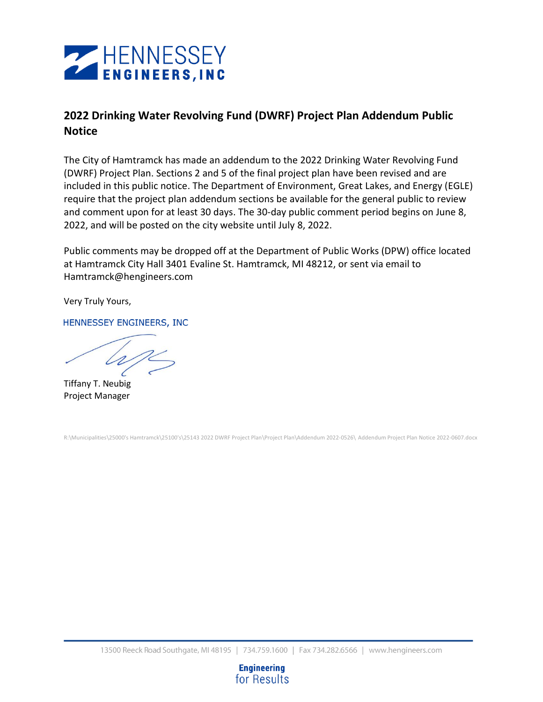

# **2022 Drinking Water Revolving Fund (DWRF) Project Plan Addendum Public Notice**

The City of Hamtramck has made an addendum to the 2022 Drinking Water Revolving Fund (DWRF) Project Plan. Sections 2 and 5 of the final project plan have been revised and are included in this public notice. The Department of Environment, Great Lakes, and Energy (EGLE) require that the project plan addendum sections be available for the general public to review and comment upon for at least 30 days. The 30-day public comment period begins on June 8, 2022, and will be posted on the city website until July 8, 2022.

Public comments may be dropped off at the Department of Public Works (DPW) office located at Hamtramck City Hall 3401 Evaline St. Hamtramck, MI 48212, or sent via email to Hamtramck@hengineers.com

Very Truly Yours,

HENNESSEY ENGINEERS, INC

Tiffany T. Neubig Project Manager

R:\Municipalities\25000's Hamtramck\25100's\25143 2022 DWRF Project Plan\Project Plan\Addendum 2022-0526\ Addendum Project Plan Notice 2022-0607.docx

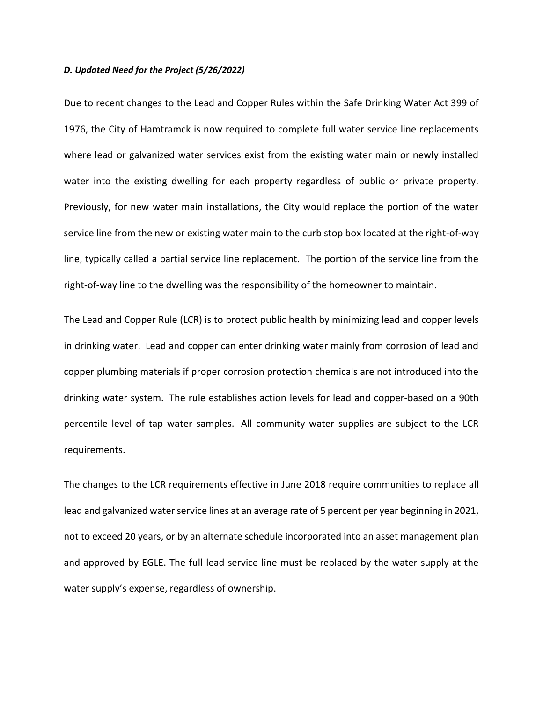#### *D. Updated Need for the Project (5/26/2022)*

Due to recent changes to the Lead and Copper Rules within the Safe Drinking Water Act 399 of 1976, the City of Hamtramck is now required to complete full water service line replacements where lead or galvanized water services exist from the existing water main or newly installed water into the existing dwelling for each property regardless of public or private property. Previously, for new water main installations, the City would replace the portion of the water service line from the new or existing water main to the curb stop box located at the right-of-way line, typically called a partial service line replacement. The portion of the service line from the right-of-way line to the dwelling was the responsibility of the homeowner to maintain.

The Lead and Copper Rule (LCR) is to protect public health by minimizing lead and copper levels in drinking water. Lead and copper can enter drinking water mainly from corrosion of lead and copper plumbing materials if proper corrosion protection chemicals are not introduced into the drinking water system. The rule establishes action levels for lead and copper-based on a 90th percentile level of tap water samples. All community water supplies are subject to the LCR requirements.

The changes to the LCR requirements effective in June 2018 require communities to replace all lead and galvanized water service lines at an average rate of 5 percent per year beginning in 2021, not to exceed 20 years, or by an alternate schedule incorporated into an asset management plan and approved by EGLE. The full lead service line must be replaced by the water supply at the water supply's expense, regardless of ownership.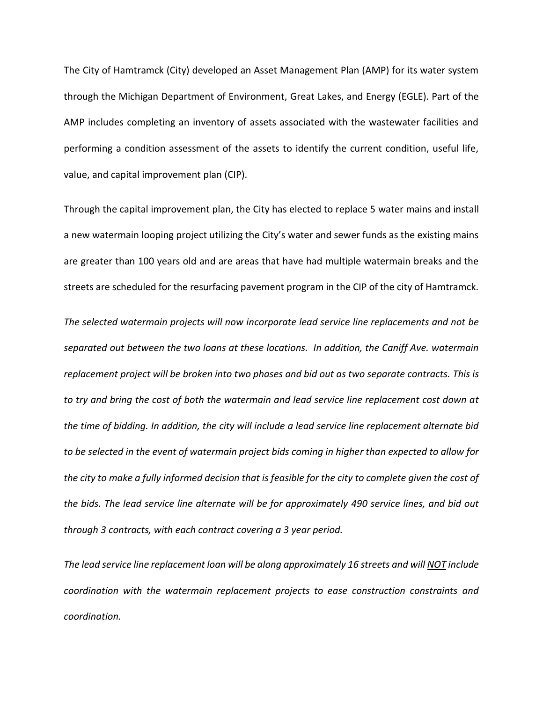The City of Hamtramck (City) developed an Asset Management Plan (AMP) for its water system through the Michigan Department of Environment, Great Lakes, and Energy (EGLE). Part of the AMP includes completing an inventory of assets associated with the wastewater facilities and performing a condition assessment of the assets to identify the current condition, useful life, value, and capital improvement plan (CIP).

Through the capital improvement plan, the City has elected to replace 5 water mains and install a new watermain looping project utilizing the City's water and sewer funds as the existing mains are greater than 100 years old and are areas that have had multiple watermain breaks and the streets are scheduled for the resurfacing pavement program in the CIP of the city of Hamtramck.

*The selected watermain projects will now incorporate lead service line replacements and not be separated out between the two loans at these locations. In addition, the Caniff Ave. watermain replacement project will be broken into two phases and bid out as two separate contracts. This is to try and bring the cost of both the watermain and lead service line replacement cost down at the time of bidding. In addition, the city will include a lead service line replacement alternate bid to be selected in the event of watermain project bids coming in higher than expected to allow for the city to make a fully informed decision that is feasible for the city to complete given the cost of the bids. The lead service line alternate will be for approximately 490 service lines, and bid out through 3 contracts, with each contract covering a 3 year period.*

*The lead service line replacement loan will be along approximately 16 streets and will NOT include coordination with the watermain replacement projects to ease construction constraints and coordination.*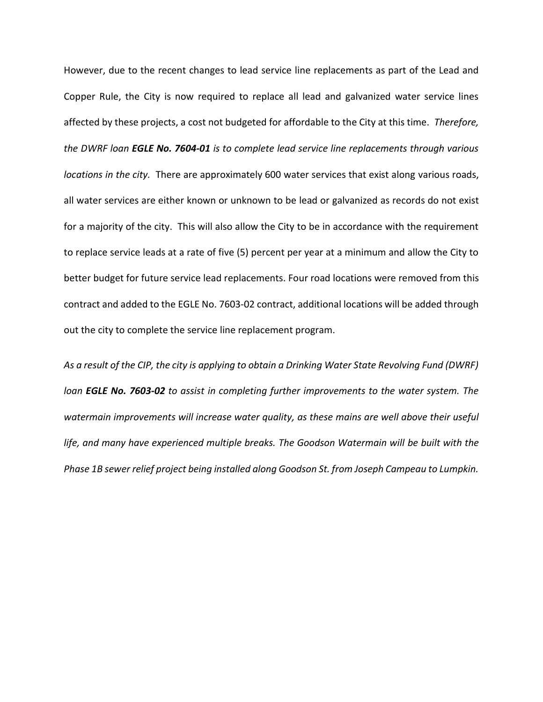However, due to the recent changes to lead service line replacements as part of the Lead and Copper Rule, the City is now required to replace all lead and galvanized water service lines affected by these projects, a cost not budgeted for affordable to the City at this time. *Therefore, the DWRF loan EGLE No. 7604-01 is to complete lead service line replacements through various locations in the city.* There are approximately 600 water services that exist along various roads, all water services are either known or unknown to be lead or galvanized as records do not exist for a majority of the city. This will also allow the City to be in accordance with the requirement to replace service leads at a rate of five (5) percent per year at a minimum and allow the City to better budget for future service lead replacements. Four road locations were removed from this contract and added to the EGLE No. 7603-02 contract, additional locations will be added through out the city to complete the service line replacement program.

*As a result of the CIP, the city is applying to obtain a Drinking Water State Revolving Fund (DWRF) loan EGLE No. 7603-02 to assist in completing further improvements to the water system. The watermain improvements will increase water quality, as these mains are well above their useful life, and many have experienced multiple breaks. The Goodson Watermain will be built with the Phase 1B sewer relief project being installed along Goodson St. from Joseph Campeau to Lumpkin.*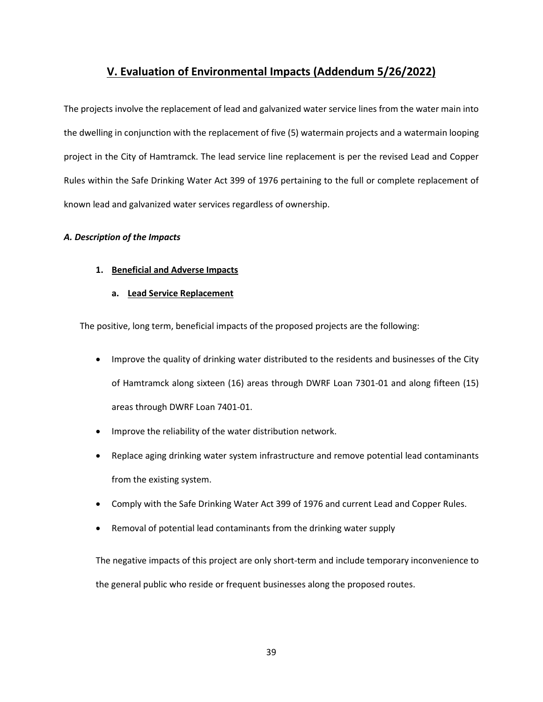# **V. Evaluation of Environmental Impacts (Addendum 5/26/2022)**

The projects involve the replacement of lead and galvanized water service lines from the water main into the dwelling in conjunction with the replacement of five (5) watermain projects and a watermain looping project in the City of Hamtramck. The lead service line replacement is per the revised Lead and Copper Rules within the Safe Drinking Water Act 399 of 1976 pertaining to the full or complete replacement of known lead and galvanized water services regardless of ownership.

# *A. Description of the Impacts*

# **1. Beneficial and Adverse Impacts**

# **a. Lead Service Replacement**

The positive, long term, beneficial impacts of the proposed projects are the following:

- Improve the quality of drinking water distributed to the residents and businesses of the City of Hamtramck along sixteen (16) areas through DWRF Loan 7301-01 and along fifteen (15) areas through DWRF Loan 7401-01.
- Improve the reliability of the water distribution network.
- Replace aging drinking water system infrastructure and remove potential lead contaminants from the existing system.
- Comply with the Safe Drinking Water Act 399 of 1976 and current Lead and Copper Rules.
- Removal of potential lead contaminants from the drinking water supply

The negative impacts of this project are only short-term and include temporary inconvenience to the general public who reside or frequent businesses along the proposed routes.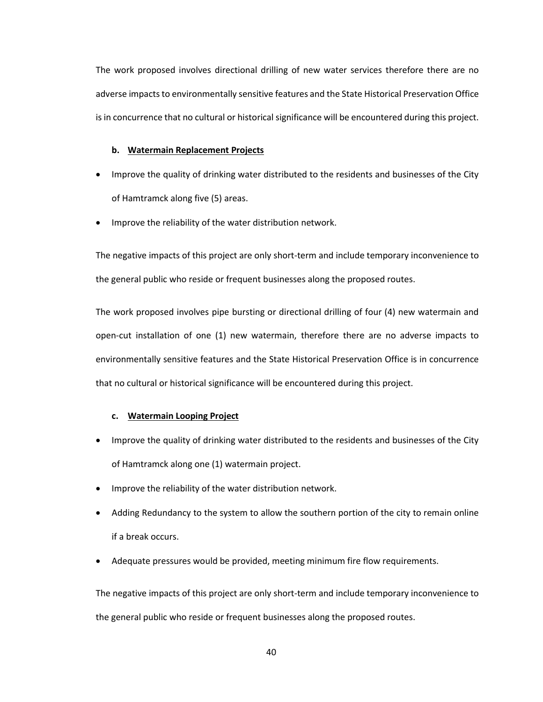The work proposed involves directional drilling of new water services therefore there are no adverse impacts to environmentally sensitive features and the State Historical Preservation Office is in concurrence that no cultural or historical significance will be encountered during this project.

## **b. Watermain Replacement Projects**

- Improve the quality of drinking water distributed to the residents and businesses of the City of Hamtramck along five (5) areas.
- Improve the reliability of the water distribution network.

The negative impacts of this project are only short-term and include temporary inconvenience to the general public who reside or frequent businesses along the proposed routes.

The work proposed involves pipe bursting or directional drilling of four (4) new watermain and open-cut installation of one (1) new watermain, therefore there are no adverse impacts to environmentally sensitive features and the State Historical Preservation Office is in concurrence that no cultural or historical significance will be encountered during this project.

## **c. Watermain Looping Project**

- Improve the quality of drinking water distributed to the residents and businesses of the City of Hamtramck along one (1) watermain project.
- Improve the reliability of the water distribution network.
- Adding Redundancy to the system to allow the southern portion of the city to remain online if a break occurs.
- Adequate pressures would be provided, meeting minimum fire flow requirements.

The negative impacts of this project are only short-term and include temporary inconvenience to the general public who reside or frequent businesses along the proposed routes.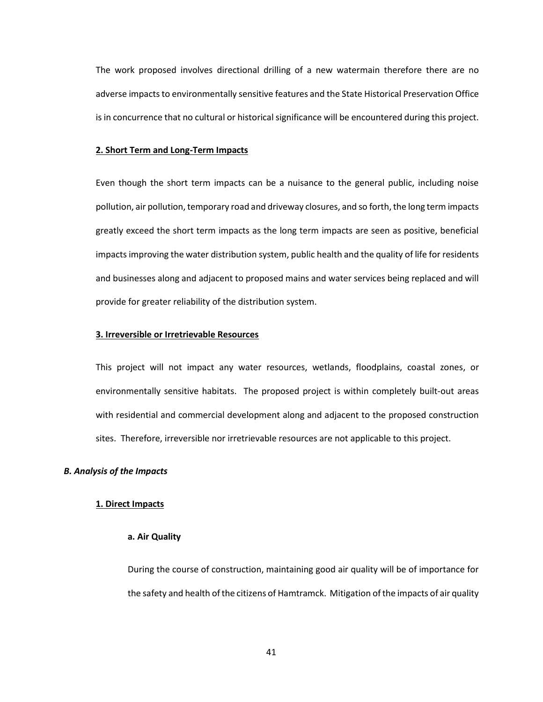The work proposed involves directional drilling of a new watermain therefore there are no adverse impacts to environmentally sensitive features and the State Historical Preservation Office is in concurrence that no cultural or historical significance will be encountered during this project.

## **2. Short Term and Long-Term Impacts**

Even though the short term impacts can be a nuisance to the general public, including noise pollution, air pollution, temporary road and driveway closures, and so forth, the long term impacts greatly exceed the short term impacts as the long term impacts are seen as positive, beneficial impacts improving the water distribution system, public health and the quality of life for residents and businesses along and adjacent to proposed mains and water services being replaced and will provide for greater reliability of the distribution system.

#### **3. Irreversible or Irretrievable Resources**

This project will not impact any water resources, wetlands, floodplains, coastal zones, or environmentally sensitive habitats. The proposed project is within completely built-out areas with residential and commercial development along and adjacent to the proposed construction sites. Therefore, irreversible nor irretrievable resources are not applicable to this project.

#### *B. Analysis of the Impacts*

#### **1. Direct Impacts**

## **a. Air Quality**

During the course of construction, maintaining good air quality will be of importance for the safety and health of the citizens of Hamtramck. Mitigation of the impacts of air quality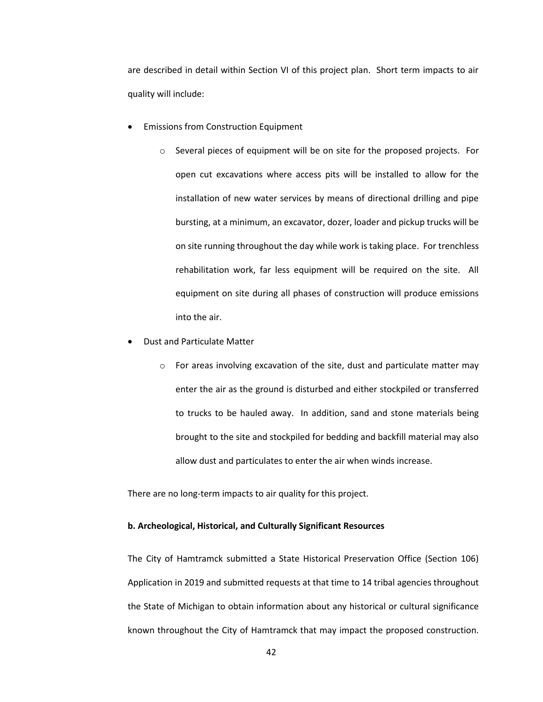are described in detail within Section VI of this project plan. Short term impacts to air quality will include:

- Emissions from Construction Equipment
	- o Several pieces of equipment will be on site for the proposed projects. For open cut excavations where access pits will be installed to allow for the installation of new water services by means of directional drilling and pipe bursting, at a minimum, an excavator, dozer, loader and pickup trucks will be on site running throughout the day while work is taking place. For trenchless rehabilitation work, far less equipment will be required on the site. All equipment on site during all phases of construction will produce emissions into the air.
- Dust and Particulate Matter
	- o For areas involving excavation of the site, dust and particulate matter may enter the air as the ground is disturbed and either stockpiled or transferred to trucks to be hauled away. In addition, sand and stone materials being brought to the site and stockpiled for bedding and backfill material may also allow dust and particulates to enter the air when winds increase.

There are no long-term impacts to air quality for this project.

## **b. Archeological, Historical, and Culturally Significant Resources**

The City of Hamtramck submitted a State Historical Preservation Office (Section 106) Application in 2019 and submitted requests at that time to 14 tribal agencies throughout the State of Michigan to obtain information about any historical or cultural significance known throughout the City of Hamtramck that may impact the proposed construction.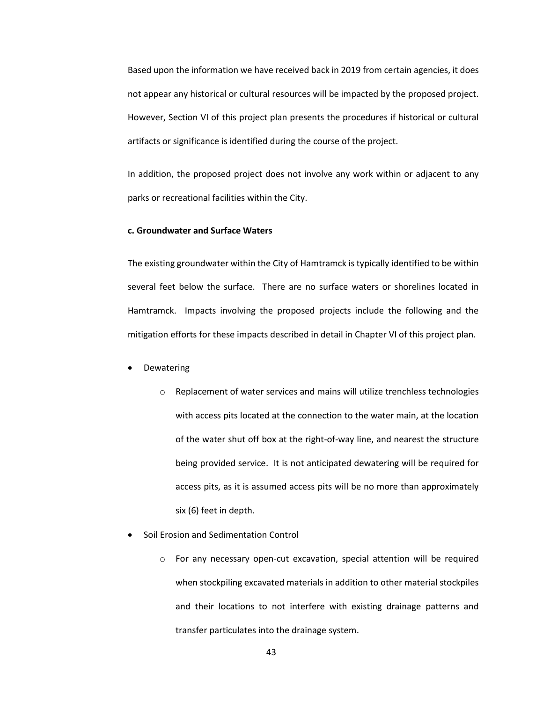Based upon the information we have received back in 2019 from certain agencies, it does not appear any historical or cultural resources will be impacted by the proposed project. However, Section VI of this project plan presents the procedures if historical or cultural artifacts or significance is identified during the course of the project.

In addition, the proposed project does not involve any work within or adjacent to any parks or recreational facilities within the City.

# **c. Groundwater and Surface Waters**

The existing groundwater within the City of Hamtramck is typically identified to be within several feet below the surface. There are no surface waters or shorelines located in Hamtramck. Impacts involving the proposed projects include the following and the mitigation efforts for these impacts described in detail in Chapter VI of this project plan.

- **Dewatering** 
	- o Replacement of water services and mains will utilize trenchless technologies with access pits located at the connection to the water main, at the location of the water shut off box at the right-of-way line, and nearest the structure being provided service. It is not anticipated dewatering will be required for access pits, as it is assumed access pits will be no more than approximately six (6) feet in depth.
- Soil Erosion and Sedimentation Control
	- o For any necessary open-cut excavation, special attention will be required when stockpiling excavated materials in addition to other material stockpiles and their locations to not interfere with existing drainage patterns and transfer particulates into the drainage system.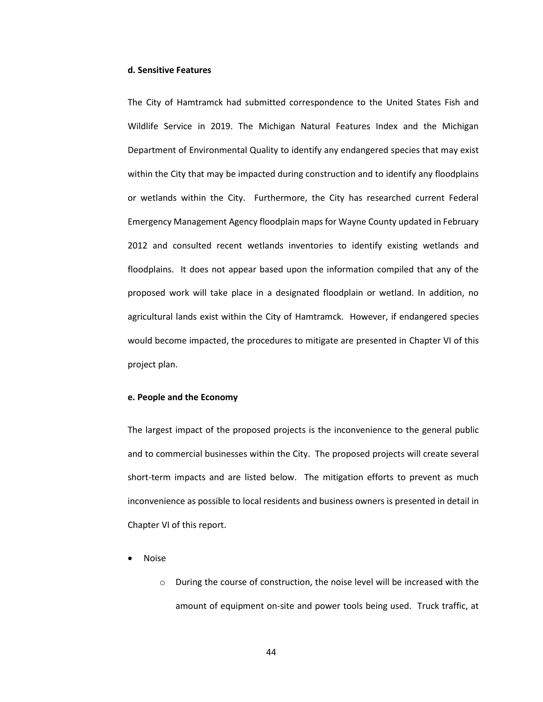#### **d. Sensitive Features**

The City of Hamtramck had submitted correspondence to the United States Fish and Wildlife Service in 2019. The Michigan Natural Features Index and the Michigan Department of Environmental Quality to identify any endangered species that may exist within the City that may be impacted during construction and to identify any floodplains or wetlands within the City. Furthermore, the City has researched current Federal Emergency Management Agency floodplain maps for Wayne County updated in February 2012 and consulted recent wetlands inventories to identify existing wetlands and floodplains. It does not appear based upon the information compiled that any of the proposed work will take place in a designated floodplain or wetland. In addition, no agricultural lands exist within the City of Hamtramck. However, if endangered species would become impacted, the procedures to mitigate are presented in Chapter VI of this project plan.

#### **e. People and the Economy**

The largest impact of the proposed projects is the inconvenience to the general public and to commercial businesses within the City. The proposed projects will create several short-term impacts and are listed below. The mitigation efforts to prevent as much inconvenience as possible to local residents and business owners is presented in detail in Chapter VI of this report.

- Noise
	- o During the course of construction, the noise level will be increased with the amount of equipment on-site and power tools being used. Truck traffic, at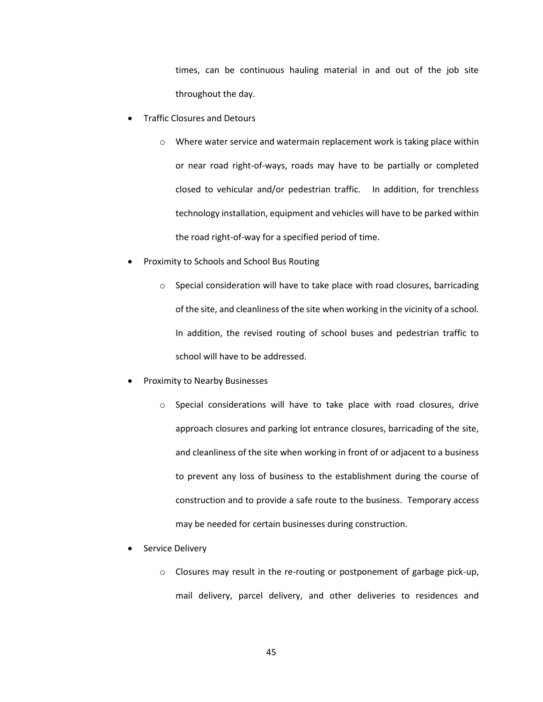times, can be continuous hauling material in and out of the job site throughout the day.

- Traffic Closures and Detours
	- o Where water service and watermain replacement work is taking place within or near road right-of-ways, roads may have to be partially or completed closed to vehicular and/or pedestrian traffic. In addition, for trenchless technology installation, equipment and vehicles will have to be parked within the road right-of-way for a specified period of time.
- Proximity to Schools and School Bus Routing
	- $\circ$  Special consideration will have to take place with road closures, barricading of the site, and cleanliness of the site when working in the vicinity of a school. In addition, the revised routing of school buses and pedestrian traffic to school will have to be addressed.
- Proximity to Nearby Businesses
	- o Special considerations will have to take place with road closures, drive approach closures and parking lot entrance closures, barricading of the site, and cleanliness of the site when working in front of or adjacent to a business to prevent any loss of business to the establishment during the course of construction and to provide a safe route to the business. Temporary access may be needed for certain businesses during construction.
- Service Delivery
	- o Closures may result in the re-routing or postponement of garbage pick-up, mail delivery, parcel delivery, and other deliveries to residences and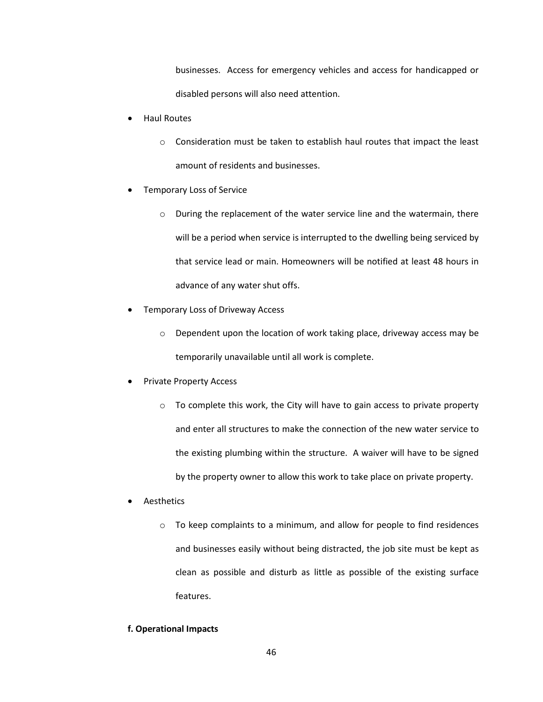businesses. Access for emergency vehicles and access for handicapped or disabled persons will also need attention.

- Haul Routes
	- o Consideration must be taken to establish haul routes that impact the least amount of residents and businesses.
- Temporary Loss of Service
	- o During the replacement of the water service line and the watermain, there will be a period when service is interrupted to the dwelling being serviced by that service lead or main. Homeowners will be notified at least 48 hours in advance of any water shut offs.
- Temporary Loss of Driveway Access
	- o Dependent upon the location of work taking place, driveway access may be temporarily unavailable until all work is complete.
- Private Property Access
	- o To complete this work, the City will have to gain access to private property and enter all structures to make the connection of the new water service to the existing plumbing within the structure. A waiver will have to be signed by the property owner to allow this work to take place on private property.
- **Aesthetics** 
	- o To keep complaints to a minimum, and allow for people to find residences and businesses easily without being distracted, the job site must be kept as clean as possible and disturb as little as possible of the existing surface features.

## **f. Operational Impacts**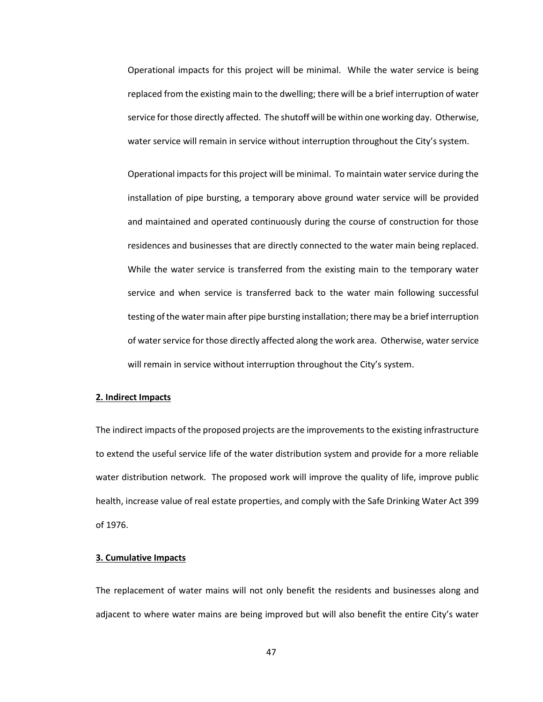Operational impacts for this project will be minimal. While the water service is being replaced from the existing main to the dwelling; there will be a brief interruption of water service for those directly affected. The shutoff will be within one working day. Otherwise, water service will remain in service without interruption throughout the City's system.

Operational impacts for this project will be minimal. To maintain water service during the installation of pipe bursting, a temporary above ground water service will be provided and maintained and operated continuously during the course of construction for those residences and businesses that are directly connected to the water main being replaced. While the water service is transferred from the existing main to the temporary water service and when service is transferred back to the water main following successful testing of the water main after pipe bursting installation; there may be a brief interruption of water service for those directly affected along the work area. Otherwise, water service will remain in service without interruption throughout the City's system.

#### **2. Indirect Impacts**

The indirect impacts of the proposed projects are the improvements to the existing infrastructure to extend the useful service life of the water distribution system and provide for a more reliable water distribution network. The proposed work will improve the quality of life, improve public health, increase value of real estate properties, and comply with the Safe Drinking Water Act 399 of 1976.

## **3. Cumulative Impacts**

The replacement of water mains will not only benefit the residents and businesses along and adjacent to where water mains are being improved but will also benefit the entire City's water